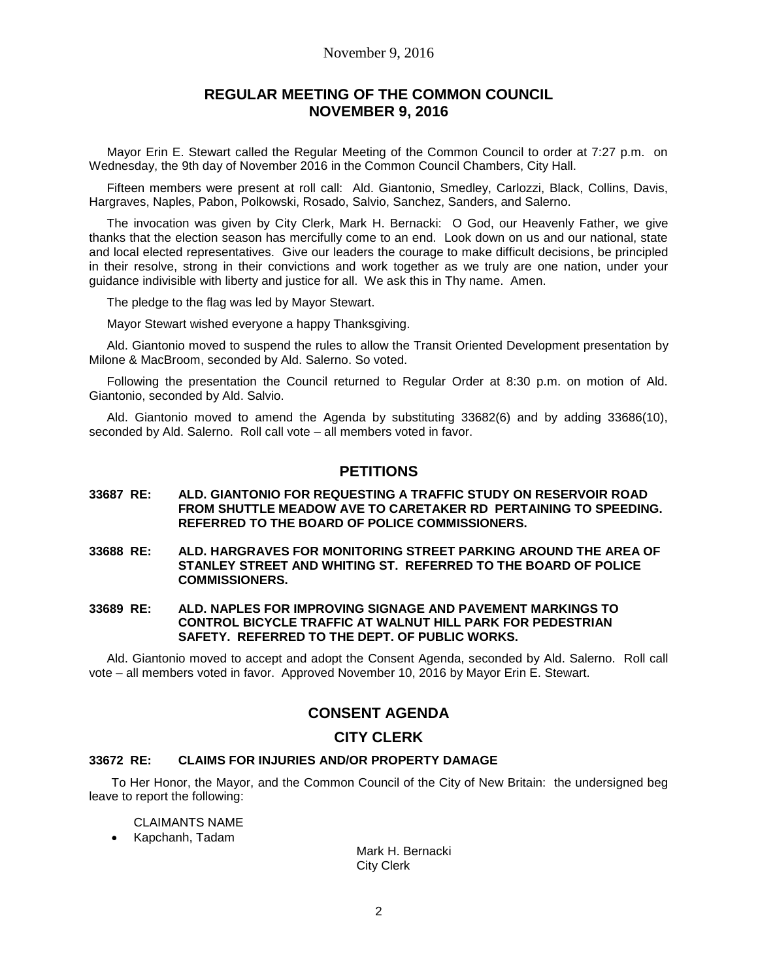### November 9, 2016

## **REGULAR MEETING OF THE COMMON COUNCIL NOVEMBER 9, 2016**

Mayor Erin E. Stewart called the Regular Meeting of the Common Council to order at 7:27 p.m. on Wednesday, the 9th day of November 2016 in the Common Council Chambers, City Hall.

Fifteen members were present at roll call: Ald. Giantonio, Smedley, Carlozzi, Black, Collins, Davis, Hargraves, Naples, Pabon, Polkowski, Rosado, Salvio, Sanchez, Sanders, and Salerno.

The invocation was given by City Clerk, Mark H. Bernacki: O God, our Heavenly Father, we give thanks that the election season has mercifully come to an end. Look down on us and our national, state and local elected representatives. Give our leaders the courage to make difficult decisions, be principled in their resolve, strong in their convictions and work together as we truly are one nation, under your guidance indivisible with liberty and justice for all. We ask this in Thy name. Amen.

The pledge to the flag was led by Mayor Stewart.

Mayor Stewart wished everyone a happy Thanksgiving.

Ald. Giantonio moved to suspend the rules to allow the Transit Oriented Development presentation by Milone & MacBroom, seconded by Ald. Salerno. So voted.

Following the presentation the Council returned to Regular Order at 8:30 p.m. on motion of Ald. Giantonio, seconded by Ald. Salvio.

Ald. Giantonio moved to amend the Agenda by substituting 33682(6) and by adding 33686(10), seconded by Ald. Salerno. Roll call vote – all members voted in favor.

### **PETITIONS**

#### **33687 RE: ALD. GIANTONIO FOR REQUESTING A TRAFFIC STUDY ON RESERVOIR ROAD FROM SHUTTLE MEADOW AVE TO CARETAKER RD PERTAINING TO SPEEDING. REFERRED TO THE BOARD OF POLICE COMMISSIONERS.**

- **33688 RE: ALD. HARGRAVES FOR MONITORING STREET PARKING AROUND THE AREA OF STANLEY STREET AND WHITING ST. REFERRED TO THE BOARD OF POLICE COMMISSIONERS.**
- **33689 RE: ALD. NAPLES FOR IMPROVING SIGNAGE AND PAVEMENT MARKINGS TO CONTROL BICYCLE TRAFFIC AT WALNUT HILL PARK FOR PEDESTRIAN SAFETY. REFERRED TO THE DEPT. OF PUBLIC WORKS.**

Ald. Giantonio moved to accept and adopt the Consent Agenda, seconded by Ald. Salerno. Roll call vote – all members voted in favor. Approved November 10, 2016 by Mayor Erin E. Stewart.

# **CONSENT AGENDA**

### **CITY CLERK**

### **33672 RE: CLAIMS FOR INJURIES AND/OR PROPERTY DAMAGE**

To Her Honor, the Mayor, and the Common Council of the City of New Britain: the undersigned beg leave to report the following:

CLAIMANTS NAME

Kapchanh, Tadam

Mark H. Bernacki City Clerk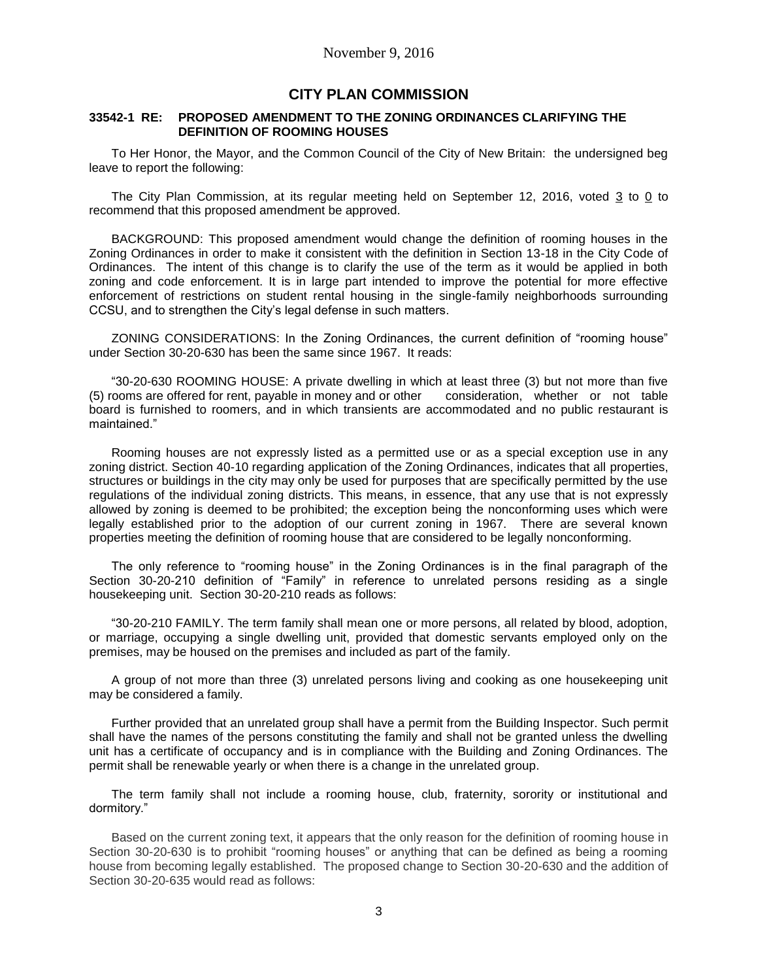## **CITY PLAN COMMISSION**

### **33542-1 RE: PROPOSED AMENDMENT TO THE ZONING ORDINANCES CLARIFYING THE DEFINITION OF ROOMING HOUSES**

To Her Honor, the Mayor, and the Common Council of the City of New Britain: the undersigned beg leave to report the following:

The City Plan Commission, at its regular meeting held on September 12, 2016, voted 3 to 0 to recommend that this proposed amendment be approved.

BACKGROUND: This proposed amendment would change the definition of rooming houses in the Zoning Ordinances in order to make it consistent with the definition in Section 13-18 in the City Code of Ordinances. The intent of this change is to clarify the use of the term as it would be applied in both zoning and code enforcement. It is in large part intended to improve the potential for more effective enforcement of restrictions on student rental housing in the single-family neighborhoods surrounding CCSU, and to strengthen the City's legal defense in such matters.

ZONING CONSIDERATIONS: In the Zoning Ordinances, the current definition of "rooming house" under Section 30-20-630 has been the same since 1967. It reads:

"30-20-630 ROOMING HOUSE: A private dwelling in which at least three (3) but not more than five (5) rooms are offered for rent, payable in money and or other consideration, whether or not table board is furnished to roomers, and in which transients are accommodated and no public restaurant is maintained."

Rooming houses are not expressly listed as a permitted use or as a special exception use in any zoning district. Section 40-10 regarding application of the Zoning Ordinances, indicates that all properties, structures or buildings in the city may only be used for purposes that are specifically permitted by the use regulations of the individual zoning districts. This means, in essence, that any use that is not expressly allowed by zoning is deemed to be prohibited; the exception being the nonconforming uses which were legally established prior to the adoption of our current zoning in 1967. There are several known properties meeting the definition of rooming house that are considered to be legally nonconforming.

The only reference to "rooming house" in the Zoning Ordinances is in the final paragraph of the Section 30-20-210 definition of "Family" in reference to unrelated persons residing as a single housekeeping unit. Section 30-20-210 reads as follows:

"30-20-210 FAMILY. The term family shall mean one or more persons, all related by blood, adoption, or marriage, occupying a single dwelling unit, provided that domestic servants employed only on the premises, may be housed on the premises and included as part of the family.

A group of not more than three (3) unrelated persons living and cooking as one housekeeping unit may be considered a family.

Further provided that an unrelated group shall have a permit from the Building Inspector. Such permit shall have the names of the persons constituting the family and shall not be granted unless the dwelling unit has a certificate of occupancy and is in compliance with the Building and Zoning Ordinances. The permit shall be renewable yearly or when there is a change in the unrelated group.

The term family shall not include a rooming house, club, fraternity, sorority or institutional and dormitory."

Based on the current zoning text, it appears that the only reason for the definition of rooming house in Section 30-20-630 is to prohibit "rooming houses" or anything that can be defined as being a rooming house from becoming legally established. The proposed change to Section 30-20-630 and the addition of Section 30-20-635 would read as follows: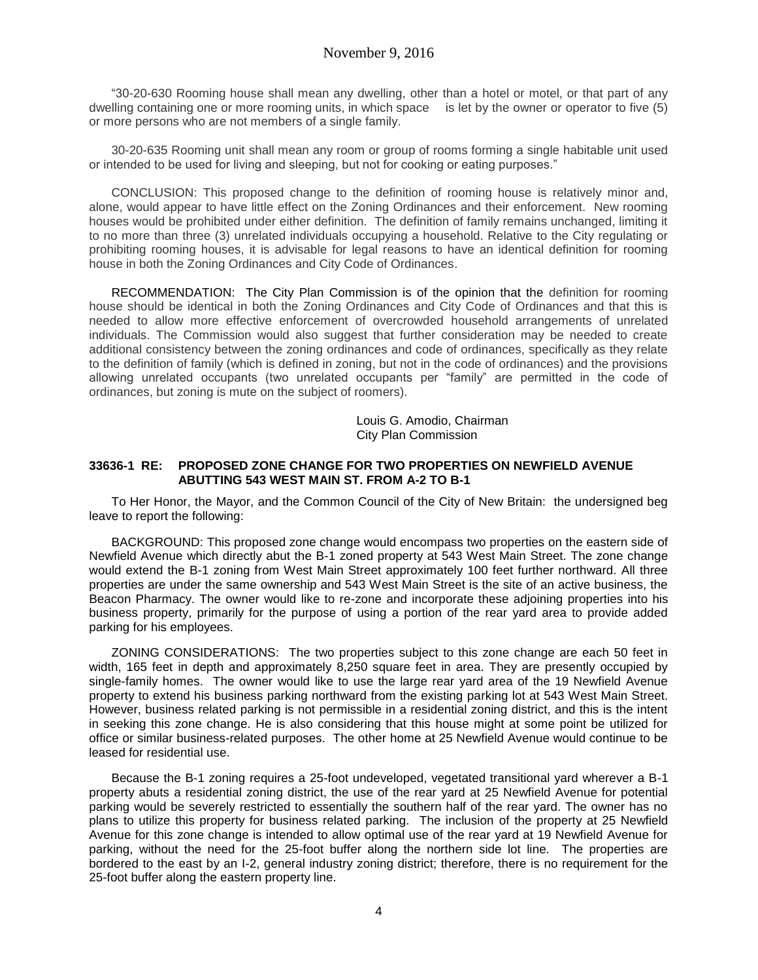"30-20-630 Rooming house shall mean any dwelling, other than a hotel or motel, or that part of any dwelling containing one or more rooming units, in which space is let by the owner or operator to five (5) or more persons who are not members of a single family.

30-20-635 Rooming unit shall mean any room or group of rooms forming a single habitable unit used or intended to be used for living and sleeping, but not for cooking or eating purposes."

CONCLUSION: This proposed change to the definition of rooming house is relatively minor and, alone, would appear to have little effect on the Zoning Ordinances and their enforcement. New rooming houses would be prohibited under either definition. The definition of family remains unchanged, limiting it to no more than three (3) unrelated individuals occupying a household. Relative to the City regulating or prohibiting rooming houses, it is advisable for legal reasons to have an identical definition for rooming house in both the Zoning Ordinances and City Code of Ordinances.

RECOMMENDATION: The City Plan Commission is of the opinion that the definition for rooming house should be identical in both the Zoning Ordinances and City Code of Ordinances and that this is needed to allow more effective enforcement of overcrowded household arrangements of unrelated individuals. The Commission would also suggest that further consideration may be needed to create additional consistency between the zoning ordinances and code of ordinances, specifically as they relate to the definition of family (which is defined in zoning, but not in the code of ordinances) and the provisions allowing unrelated occupants (two unrelated occupants per "family" are permitted in the code of ordinances, but zoning is mute on the subject of roomers).

> Louis G. Amodio, Chairman City Plan Commission

### **33636-1 RE: PROPOSED ZONE CHANGE FOR TWO PROPERTIES ON NEWFIELD AVENUE ABUTTING 543 WEST MAIN ST. FROM A-2 TO B-1**

To Her Honor, the Mayor, and the Common Council of the City of New Britain: the undersigned beg leave to report the following:

BACKGROUND: This proposed zone change would encompass two properties on the eastern side of Newfield Avenue which directly abut the B-1 zoned property at 543 West Main Street. The zone change would extend the B-1 zoning from West Main Street approximately 100 feet further northward. All three properties are under the same ownership and 543 West Main Street is the site of an active business, the Beacon Pharmacy. The owner would like to re-zone and incorporate these adjoining properties into his business property, primarily for the purpose of using a portion of the rear yard area to provide added parking for his employees.

ZONING CONSIDERATIONS: The two properties subject to this zone change are each 50 feet in width, 165 feet in depth and approximately 8,250 square feet in area. They are presently occupied by single-family homes. The owner would like to use the large rear yard area of the 19 Newfield Avenue property to extend his business parking northward from the existing parking lot at 543 West Main Street. However, business related parking is not permissible in a residential zoning district, and this is the intent in seeking this zone change. He is also considering that this house might at some point be utilized for office or similar business-related purposes. The other home at 25 Newfield Avenue would continue to be leased for residential use.

Because the B-1 zoning requires a 25-foot undeveloped, vegetated transitional yard wherever a B-1 property abuts a residential zoning district, the use of the rear yard at 25 Newfield Avenue for potential parking would be severely restricted to essentially the southern half of the rear yard. The owner has no plans to utilize this property for business related parking. The inclusion of the property at 25 Newfield Avenue for this zone change is intended to allow optimal use of the rear yard at 19 Newfield Avenue for parking, without the need for the 25-foot buffer along the northern side lot line. The properties are bordered to the east by an I-2, general industry zoning district; therefore, there is no requirement for the 25-foot buffer along the eastern property line.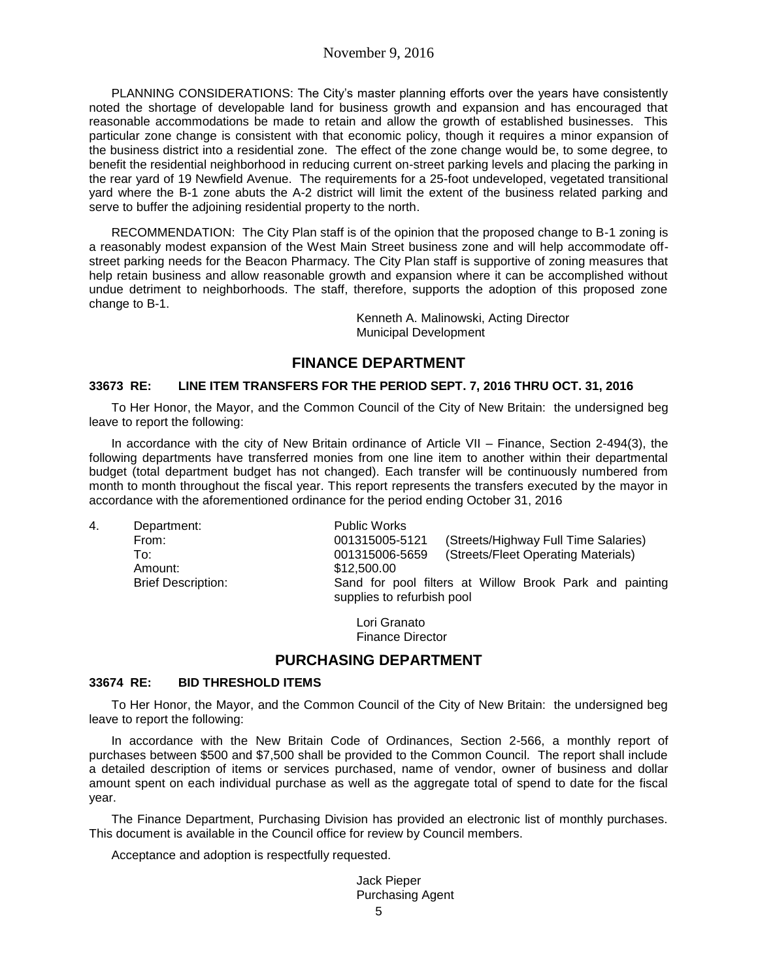PLANNING CONSIDERATIONS: The City's master planning efforts over the years have consistently noted the shortage of developable land for business growth and expansion and has encouraged that reasonable accommodations be made to retain and allow the growth of established businesses. This particular zone change is consistent with that economic policy, though it requires a minor expansion of the business district into a residential zone. The effect of the zone change would be, to some degree, to benefit the residential neighborhood in reducing current on-street parking levels and placing the parking in the rear yard of 19 Newfield Avenue. The requirements for a 25-foot undeveloped, vegetated transitional yard where the B-1 zone abuts the A-2 district will limit the extent of the business related parking and serve to buffer the adjoining residential property to the north.

RECOMMENDATION: The City Plan staff is of the opinion that the proposed change to B-1 zoning is a reasonably modest expansion of the West Main Street business zone and will help accommodate offstreet parking needs for the Beacon Pharmacy. The City Plan staff is supportive of zoning measures that help retain business and allow reasonable growth and expansion where it can be accomplished without undue detriment to neighborhoods. The staff, therefore, supports the adoption of this proposed zone change to B-1.

> Kenneth A. Malinowski, Acting Director Municipal Development

# **FINANCE DEPARTMENT**

### **33673 RE: LINE ITEM TRANSFERS FOR THE PERIOD SEPT. 7, 2016 THRU OCT. 31, 2016**

To Her Honor, the Mayor, and the Common Council of the City of New Britain: the undersigned beg leave to report the following:

In accordance with the city of New Britain ordinance of Article VII – Finance, Section 2-494(3), the following departments have transferred monies from one line item to another within their departmental budget (total department budget has not changed). Each transfer will be continuously numbered from month to month throughout the fiscal year. This report represents the transfers executed by the mayor in accordance with the aforementioned ordinance for the period ending October 31, 2016

| 4. | Department:               | <b>Public Works</b>                                                                   |
|----|---------------------------|---------------------------------------------------------------------------------------|
|    | From:                     | 001315005-5121<br>(Streets/Highway Full Time Salaries)                                |
|    | To:                       | (Streets/Fleet Operating Materials)<br>001315006-5659                                 |
|    | Amount:                   | \$12,500.00                                                                           |
|    | <b>Brief Description:</b> | Sand for pool filters at Willow Brook Park and painting<br>supplies to refurbish pool |

Lori Granato Finance Director

# **PURCHASING DEPARTMENT**

### **33674 RE: BID THRESHOLD ITEMS**

To Her Honor, the Mayor, and the Common Council of the City of New Britain: the undersigned beg leave to report the following:

In accordance with the New Britain Code of Ordinances, Section 2-566, a monthly report of purchases between \$500 and \$7,500 shall be provided to the Common Council. The report shall include a detailed description of items or services purchased, name of vendor, owner of business and dollar amount spent on each individual purchase as well as the aggregate total of spend to date for the fiscal year.

The Finance Department, Purchasing Division has provided an electronic list of monthly purchases. This document is available in the Council office for review by Council members.

Acceptance and adoption is respectfully requested.

Jack Pieper Purchasing Agent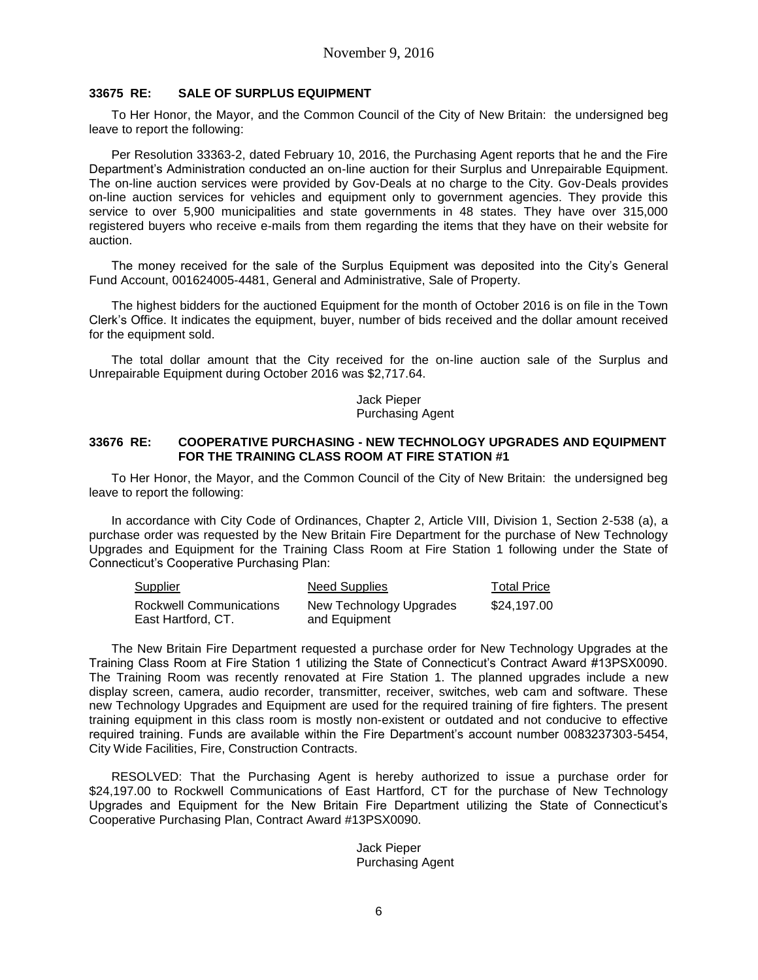### **33675 RE: SALE OF SURPLUS EQUIPMENT**

To Her Honor, the Mayor, and the Common Council of the City of New Britain: the undersigned beg leave to report the following:

Per Resolution 33363-2, dated February 10, 2016, the Purchasing Agent reports that he and the Fire Department's Administration conducted an on-line auction for their Surplus and Unrepairable Equipment. The on-line auction services were provided by Gov-Deals at no charge to the City. Gov-Deals provides on-line auction services for vehicles and equipment only to government agencies. They provide this service to over 5,900 municipalities and state governments in 48 states. They have over 315,000 registered buyers who receive e-mails from them regarding the items that they have on their website for auction.

The money received for the sale of the Surplus Equipment was deposited into the City's General Fund Account, 001624005-4481, General and Administrative, Sale of Property.

The highest bidders for the auctioned Equipment for the month of October 2016 is on file in the Town Clerk's Office. It indicates the equipment, buyer, number of bids received and the dollar amount received for the equipment sold.

The total dollar amount that the City received for the on-line auction sale of the Surplus and Unrepairable Equipment during October 2016 was \$2,717.64.

> Jack Pieper Purchasing Agent

#### **33676 RE: COOPERATIVE PURCHASING - NEW TECHNOLOGY UPGRADES AND EQUIPMENT FOR THE TRAINING CLASS ROOM AT FIRE STATION #1**

To Her Honor, the Mayor, and the Common Council of the City of New Britain: the undersigned beg leave to report the following:

In accordance with City Code of Ordinances, Chapter 2, Article VIII, Division 1, Section 2-538 (a), a purchase order was requested by the New Britain Fire Department for the purchase of New Technology Upgrades and Equipment for the Training Class Room at Fire Station 1 following under the State of Connecticut's Cooperative Purchasing Plan:

| <b>Supplier</b>         | Need Supplies           | Total Price |
|-------------------------|-------------------------|-------------|
| Rockwell Communications | New Technology Upgrades | \$24,197,00 |
| East Hartford, CT.      | and Equipment           |             |

The New Britain Fire Department requested a purchase order for New Technology Upgrades at the Training Class Room at Fire Station 1 utilizing the State of Connecticut's Contract Award #13PSX0090. The Training Room was recently renovated at Fire Station 1. The planned upgrades include a new display screen, camera, audio recorder, transmitter, receiver, switches, web cam and software. These new Technology Upgrades and Equipment are used for the required training of fire fighters. The present training equipment in this class room is mostly non-existent or outdated and not conducive to effective required training. Funds are available within the Fire Department's account number 0083237303-5454, City Wide Facilities, Fire, Construction Contracts.

RESOLVED: That the Purchasing Agent is hereby authorized to issue a purchase order for \$24,197.00 to Rockwell Communications of East Hartford, CT for the purchase of New Technology Upgrades and Equipment for the New Britain Fire Department utilizing the State of Connecticut's Cooperative Purchasing Plan, Contract Award #13PSX0090.

#### Jack Pieper Purchasing Agent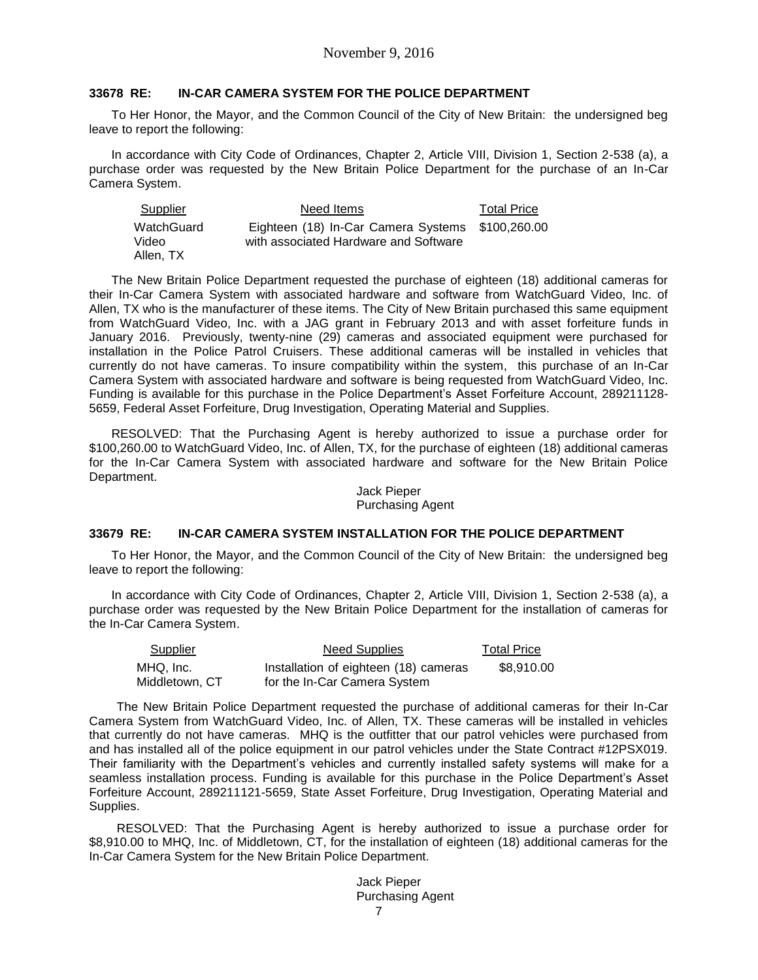### **33678 RE: IN-CAR CAMERA SYSTEM FOR THE POLICE DEPARTMENT**

To Her Honor, the Mayor, and the Common Council of the City of New Britain: the undersigned beg leave to report the following:

In accordance with City Code of Ordinances, Chapter 2, Article VIII, Division 1, Section 2-538 (a), a purchase order was requested by the New Britain Police Department for the purchase of an In-Car Camera System.

| Supplier   | Need Items                                       | <b>Total Price</b> |
|------------|--------------------------------------------------|--------------------|
| WatchGuard | Eighteen (18) In-Car Camera Systems \$100,260.00 |                    |
| Video      | with associated Hardware and Software            |                    |
| Allen, TX  |                                                  |                    |

The New Britain Police Department requested the purchase of eighteen (18) additional cameras for their In-Car Camera System with associated hardware and software from WatchGuard Video, Inc. of Allen, TX who is the manufacturer of these items. The City of New Britain purchased this same equipment from WatchGuard Video, Inc. with a JAG grant in February 2013 and with asset forfeiture funds in January 2016. Previously, twenty-nine (29) cameras and associated equipment were purchased for installation in the Police Patrol Cruisers. These additional cameras will be installed in vehicles that currently do not have cameras. To insure compatibility within the system, this purchase of an In-Car Camera System with associated hardware and software is being requested from WatchGuard Video, Inc. Funding is available for this purchase in the Police Department's Asset Forfeiture Account, 289211128- 5659, Federal Asset Forfeiture, Drug Investigation, Operating Material and Supplies.

RESOLVED: That the Purchasing Agent is hereby authorized to issue a purchase order for \$100,260.00 to WatchGuard Video, Inc. of Allen, TX, for the purchase of eighteen (18) additional cameras for the In-Car Camera System with associated hardware and software for the New Britain Police Department.

### Jack Pieper Purchasing Agent

### **33679 RE: IN-CAR CAMERA SYSTEM INSTALLATION FOR THE POLICE DEPARTMENT**

To Her Honor, the Mayor, and the Common Council of the City of New Britain: the undersigned beg leave to report the following:

In accordance with City Code of Ordinances, Chapter 2, Article VIII, Division 1, Section 2-538 (a), a purchase order was requested by the New Britain Police Department for the installation of cameras for the In-Car Camera System.

| <b>Supplier</b> | <b>Need Supplies</b>                  | <b>Total Price</b> |
|-----------------|---------------------------------------|--------------------|
| MHQ. Inc.       | Installation of eighteen (18) cameras | \$8,910.00         |
| Middletown, CT  | for the In-Car Camera System          |                    |

The New Britain Police Department requested the purchase of additional cameras for their In-Car Camera System from WatchGuard Video, Inc. of Allen, TX. These cameras will be installed in vehicles that currently do not have cameras. MHQ is the outfitter that our patrol vehicles were purchased from and has installed all of the police equipment in our patrol vehicles under the State Contract #12PSX019. Their familiarity with the Department's vehicles and currently installed safety systems will make for a seamless installation process. Funding is available for this purchase in the Police Department's Asset Forfeiture Account, 289211121-5659, State Asset Forfeiture, Drug Investigation, Operating Material and Supplies.

RESOLVED: That the Purchasing Agent is hereby authorized to issue a purchase order for \$8,910.00 to MHQ, Inc. of Middletown, CT, for the installation of eighteen (18) additional cameras for the In-Car Camera System for the New Britain Police Department.

> 7 Jack Pieper Purchasing Agent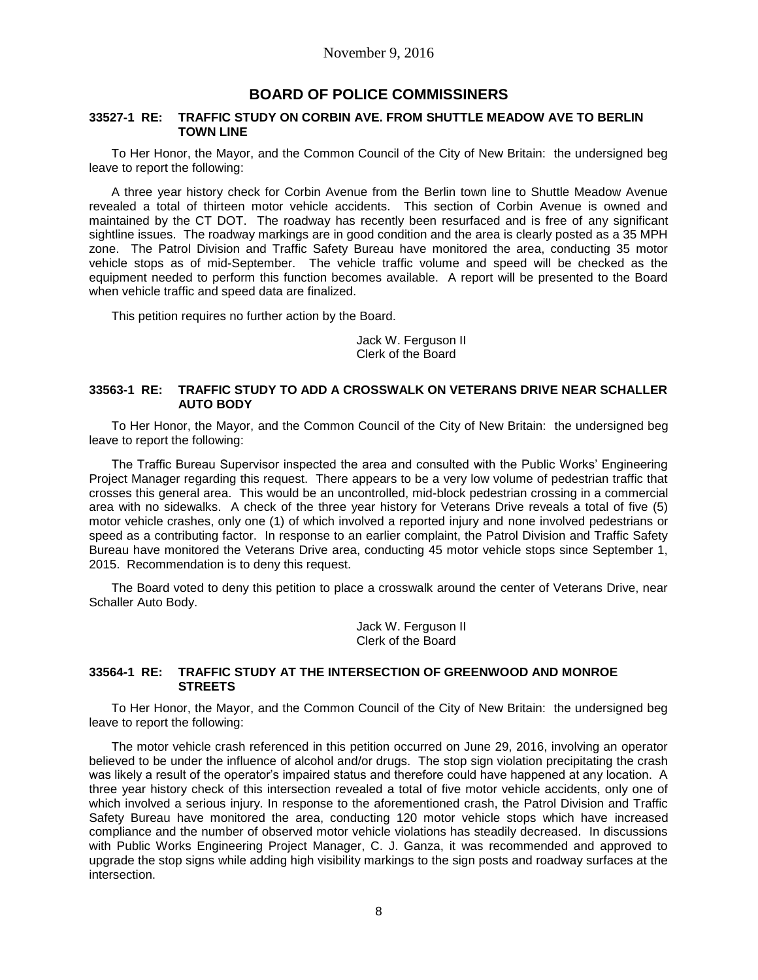# **BOARD OF POLICE COMMISSINERS**

### **33527-1 RE: TRAFFIC STUDY ON CORBIN AVE. FROM SHUTTLE MEADOW AVE TO BERLIN TOWN LINE**

To Her Honor, the Mayor, and the Common Council of the City of New Britain: the undersigned beg leave to report the following:

A three year history check for Corbin Avenue from the Berlin town line to Shuttle Meadow Avenue revealed a total of thirteen motor vehicle accidents. This section of Corbin Avenue is owned and maintained by the CT DOT. The roadway has recently been resurfaced and is free of any significant sightline issues. The roadway markings are in good condition and the area is clearly posted as a 35 MPH zone. The Patrol Division and Traffic Safety Bureau have monitored the area, conducting 35 motor vehicle stops as of mid-September. The vehicle traffic volume and speed will be checked as the equipment needed to perform this function becomes available. A report will be presented to the Board when vehicle traffic and speed data are finalized.

This petition requires no further action by the Board.

Jack W. Ferguson II Clerk of the Board

### **33563-1 RE: TRAFFIC STUDY TO ADD A CROSSWALK ON VETERANS DRIVE NEAR SCHALLER AUTO BODY**

To Her Honor, the Mayor, and the Common Council of the City of New Britain: the undersigned beg leave to report the following:

The Traffic Bureau Supervisor inspected the area and consulted with the Public Works' Engineering Project Manager regarding this request. There appears to be a very low volume of pedestrian traffic that crosses this general area. This would be an uncontrolled, mid-block pedestrian crossing in a commercial area with no sidewalks. A check of the three year history for Veterans Drive reveals a total of five (5) motor vehicle crashes, only one (1) of which involved a reported injury and none involved pedestrians or speed as a contributing factor. In response to an earlier complaint, the Patrol Division and Traffic Safety Bureau have monitored the Veterans Drive area, conducting 45 motor vehicle stops since September 1, 2015. Recommendation is to deny this request.

The Board voted to deny this petition to place a crosswalk around the center of Veterans Drive, near Schaller Auto Body.

> Jack W. Ferguson II Clerk of the Board

### **33564-1 RE: TRAFFIC STUDY AT THE INTERSECTION OF GREENWOOD AND MONROE STREETS**

To Her Honor, the Mayor, and the Common Council of the City of New Britain: the undersigned beg leave to report the following:

The motor vehicle crash referenced in this petition occurred on June 29, 2016, involving an operator believed to be under the influence of alcohol and/or drugs. The stop sign violation precipitating the crash was likely a result of the operator's impaired status and therefore could have happened at any location. A three year history check of this intersection revealed a total of five motor vehicle accidents, only one of which involved a serious injury. In response to the aforementioned crash, the Patrol Division and Traffic Safety Bureau have monitored the area, conducting 120 motor vehicle stops which have increased compliance and the number of observed motor vehicle violations has steadily decreased. In discussions with Public Works Engineering Project Manager, C. J. Ganza, it was recommended and approved to upgrade the stop signs while adding high visibility markings to the sign posts and roadway surfaces at the intersection.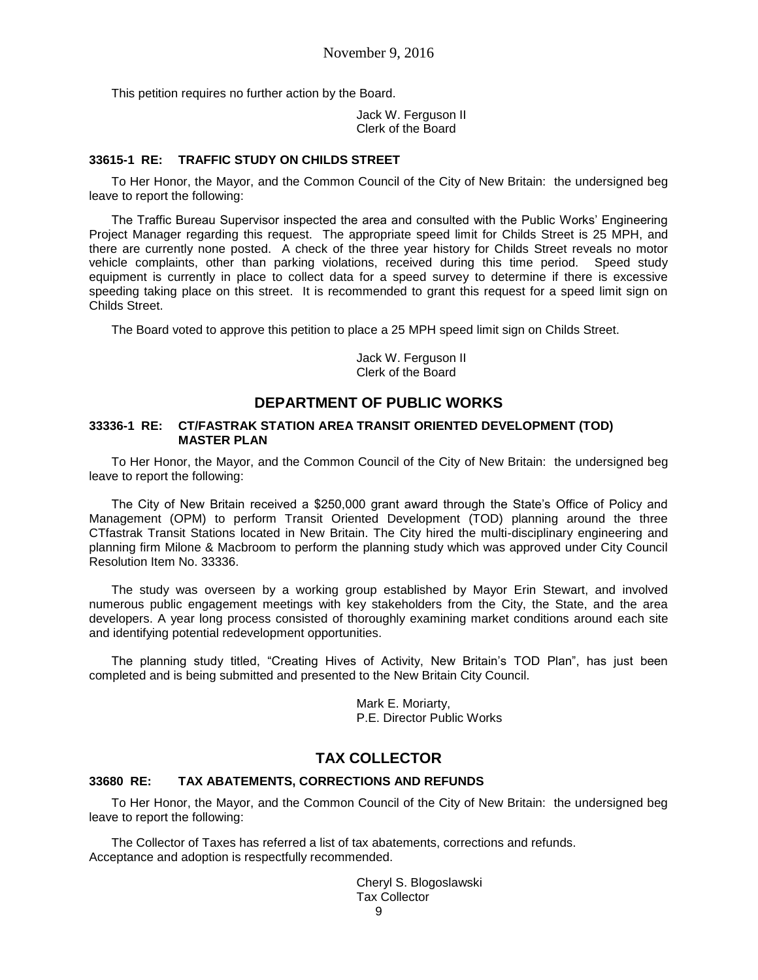This petition requires no further action by the Board.

Jack W. Ferguson II Clerk of the Board

### **33615-1 RE: TRAFFIC STUDY ON CHILDS STREET**

To Her Honor, the Mayor, and the Common Council of the City of New Britain: the undersigned beg leave to report the following:

The Traffic Bureau Supervisor inspected the area and consulted with the Public Works' Engineering Project Manager regarding this request. The appropriate speed limit for Childs Street is 25 MPH, and there are currently none posted. A check of the three year history for Childs Street reveals no motor vehicle complaints, other than parking violations, received during this time period. Speed study equipment is currently in place to collect data for a speed survey to determine if there is excessive speeding taking place on this street. It is recommended to grant this request for a speed limit sign on Childs Street.

The Board voted to approve this petition to place a 25 MPH speed limit sign on Childs Street.

Jack W. Ferguson II Clerk of the Board

## **DEPARTMENT OF PUBLIC WORKS**

#### **33336-1 RE: CT/FASTRAK STATION AREA TRANSIT ORIENTED DEVELOPMENT (TOD) MASTER PLAN**

To Her Honor, the Mayor, and the Common Council of the City of New Britain: the undersigned beg leave to report the following:

The City of New Britain received a \$250,000 grant award through the State's Office of Policy and Management (OPM) to perform Transit Oriented Development (TOD) planning around the three CTfastrak Transit Stations located in New Britain. The City hired the multi-disciplinary engineering and planning firm Milone & Macbroom to perform the planning study which was approved under City Council Resolution Item No. 33336.

The study was overseen by a working group established by Mayor Erin Stewart, and involved numerous public engagement meetings with key stakeholders from the City, the State, and the area developers. A year long process consisted of thoroughly examining market conditions around each site and identifying potential redevelopment opportunities.

The planning study titled, "Creating Hives of Activity, New Britain's TOD Plan", has just been completed and is being submitted and presented to the New Britain City Council.

> Mark E. Moriarty, P.E. Director Public Works

# **TAX COLLECTOR**

#### **33680 RE: TAX ABATEMENTS, CORRECTIONS AND REFUNDS**

To Her Honor, the Mayor, and the Common Council of the City of New Britain: the undersigned beg leave to report the following:

The Collector of Taxes has referred a list of tax abatements, corrections and refunds. Acceptance and adoption is respectfully recommended.

> Cheryl S. Blogoslawski Tax Collector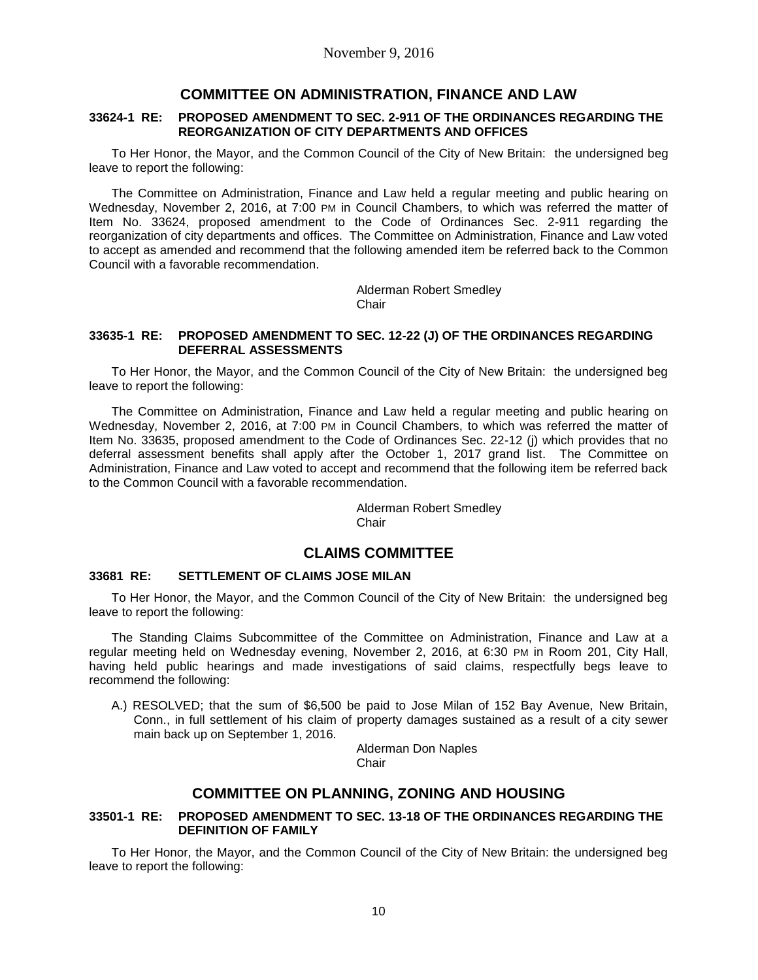# **COMMITTEE ON ADMINISTRATION, FINANCE AND LAW**

### **33624-1 RE: PROPOSED AMENDMENT TO SEC. 2-911 OF THE ORDINANCES REGARDING THE REORGANIZATION OF CITY DEPARTMENTS AND OFFICES**

To Her Honor, the Mayor, and the Common Council of the City of New Britain: the undersigned beg leave to report the following:

The Committee on Administration, Finance and Law held a regular meeting and public hearing on Wednesday, November 2, 2016, at 7:00 PM in Council Chambers, to which was referred the matter of Item No. 33624, proposed amendment to the Code of Ordinances Sec. 2-911 regarding the reorganization of city departments and offices. The Committee on Administration, Finance and Law voted to accept as amended and recommend that the following amended item be referred back to the Common Council with a favorable recommendation.

> Alderman Robert Smedley **Chair**

### **33635-1 RE: PROPOSED AMENDMENT TO SEC. 12-22 (J) OF THE ORDINANCES REGARDING DEFERRAL ASSESSMENTS**

To Her Honor, the Mayor, and the Common Council of the City of New Britain: the undersigned beg leave to report the following:

The Committee on Administration, Finance and Law held a regular meeting and public hearing on Wednesday, November 2, 2016, at 7:00 PM in Council Chambers, to which was referred the matter of Item No. 33635, proposed amendment to the Code of Ordinances Sec. 22-12 (j) which provides that no deferral assessment benefits shall apply after the October 1, 2017 grand list. The Committee on Administration, Finance and Law voted to accept and recommend that the following item be referred back to the Common Council with a favorable recommendation.

> Alderman Robert Smedley **Chair**

# **CLAIMS COMMITTEE**

## **33681 RE: SETTLEMENT OF CLAIMS JOSE MILAN**

To Her Honor, the Mayor, and the Common Council of the City of New Britain: the undersigned beg leave to report the following:

The Standing Claims Subcommittee of the Committee on Administration, Finance and Law at a regular meeting held on Wednesday evening, November 2, 2016, at 6:30 PM in Room 201, City Hall, having held public hearings and made investigations of said claims, respectfully begs leave to recommend the following:

A.) RESOLVED; that the sum of \$6,500 be paid to Jose Milan of 152 Bay Avenue, New Britain, Conn., in full settlement of his claim of property damages sustained as a result of a city sewer main back up on September 1, 2016.

> Alderman Don Naples **Chair**

# **COMMITTEE ON PLANNING, ZONING AND HOUSING**

### **33501-1 RE: PROPOSED AMENDMENT TO SEC. 13-18 OF THE ORDINANCES REGARDING THE DEFINITION OF FAMILY**

To Her Honor, the Mayor, and the Common Council of the City of New Britain: the undersigned beg leave to report the following: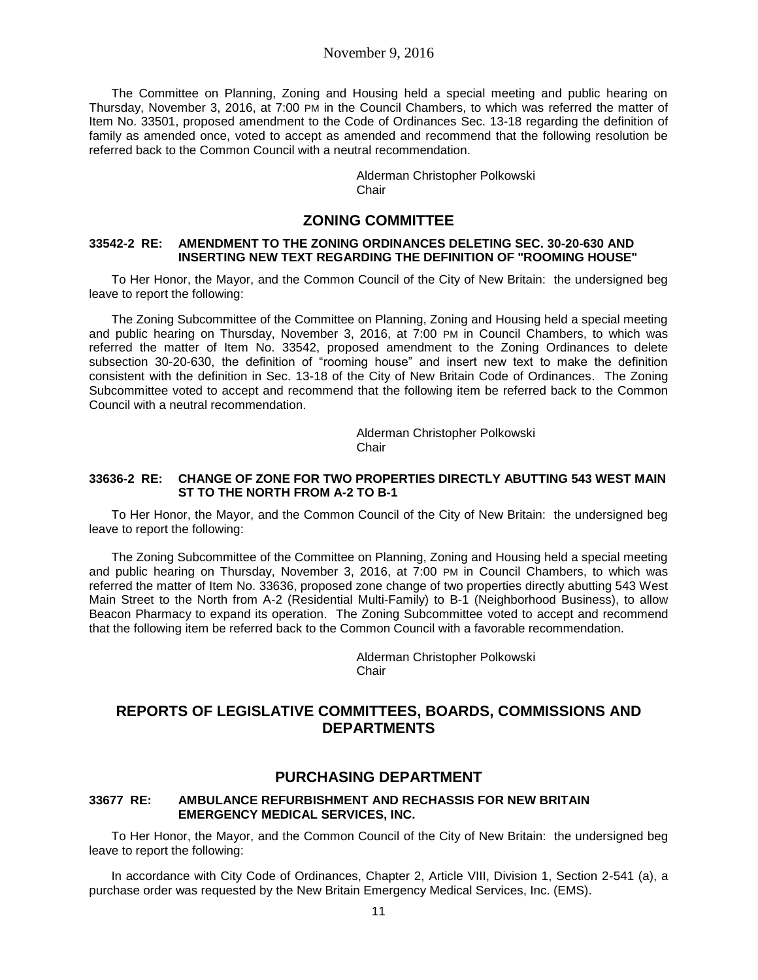The Committee on Planning, Zoning and Housing held a special meeting and public hearing on Thursday, November 3, 2016, at 7:00 PM in the Council Chambers, to which was referred the matter of Item No. 33501, proposed amendment to the Code of Ordinances Sec. 13-18 regarding the definition of family as amended once, voted to accept as amended and recommend that the following resolution be referred back to the Common Council with a neutral recommendation.

> Alderman Christopher Polkowski **Chair**

## **ZONING COMMITTEE**

### **33542-2 RE: AMENDMENT TO THE ZONING ORDINANCES DELETING SEC. 30-20-630 AND INSERTING NEW TEXT REGARDING THE DEFINITION OF "ROOMING HOUSE"**

To Her Honor, the Mayor, and the Common Council of the City of New Britain: the undersigned beg leave to report the following:

The Zoning Subcommittee of the Committee on Planning, Zoning and Housing held a special meeting and public hearing on Thursday, November 3, 2016, at 7:00 PM in Council Chambers, to which was referred the matter of Item No. 33542, proposed amendment to the Zoning Ordinances to delete subsection 30-20-630, the definition of "rooming house" and insert new text to make the definition consistent with the definition in Sec. 13-18 of the City of New Britain Code of Ordinances. The Zoning Subcommittee voted to accept and recommend that the following item be referred back to the Common Council with a neutral recommendation.

> Alderman Christopher Polkowski Chair

### **33636-2 RE: CHANGE OF ZONE FOR TWO PROPERTIES DIRECTLY ABUTTING 543 WEST MAIN ST TO THE NORTH FROM A-2 TO B-1**

To Her Honor, the Mayor, and the Common Council of the City of New Britain: the undersigned beg leave to report the following:

The Zoning Subcommittee of the Committee on Planning, Zoning and Housing held a special meeting and public hearing on Thursday, November 3, 2016, at 7:00 PM in Council Chambers, to which was referred the matter of Item No. 33636, proposed zone change of two properties directly abutting 543 West Main Street to the North from A-2 (Residential Multi-Family) to B-1 (Neighborhood Business), to allow Beacon Pharmacy to expand its operation. The Zoning Subcommittee voted to accept and recommend that the following item be referred back to the Common Council with a favorable recommendation.

> Alderman Christopher Polkowski **Chair**

# **REPORTS OF LEGISLATIVE COMMITTEES, BOARDS, COMMISSIONS AND DEPARTMENTS**

### **PURCHASING DEPARTMENT**

#### **33677 RE: AMBULANCE REFURBISHMENT AND RECHASSIS FOR NEW BRITAIN EMERGENCY MEDICAL SERVICES, INC.**

To Her Honor, the Mayor, and the Common Council of the City of New Britain: the undersigned beg leave to report the following:

In accordance with City Code of Ordinances, Chapter 2, Article VIII, Division 1, Section 2-541 (a), a purchase order was requested by the New Britain Emergency Medical Services, Inc. (EMS).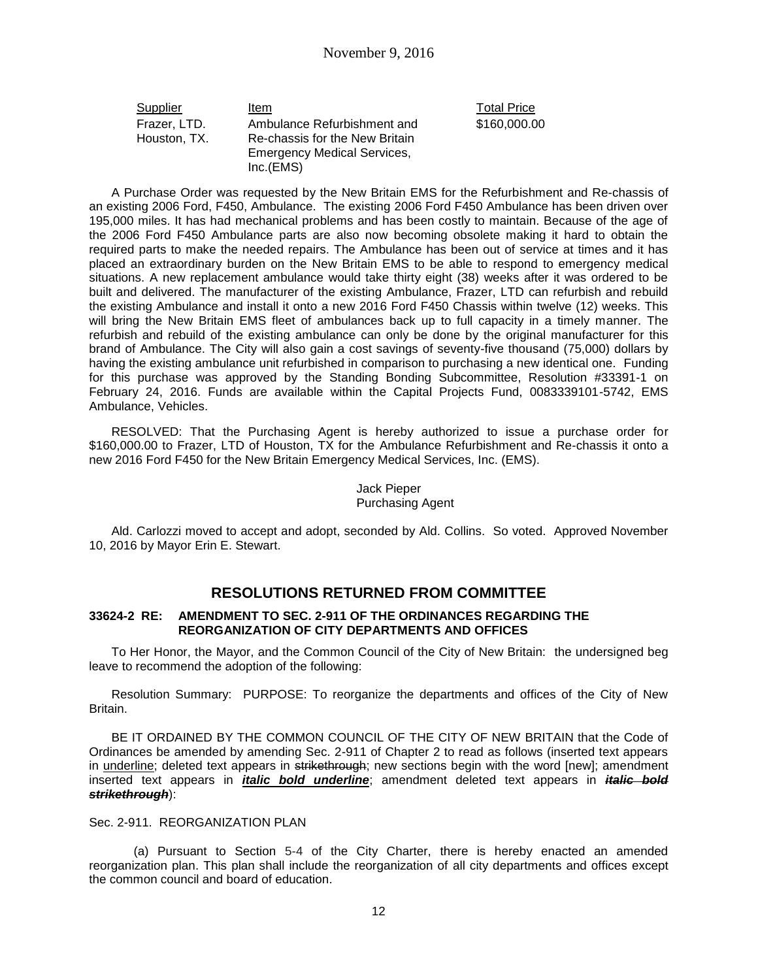| Supplier     | Item                               | <b>Total Price</b> |
|--------------|------------------------------------|--------------------|
| Frazer, LTD. | Ambulance Refurbishment and        | \$160,000.0        |
| Houston, TX. | Re-chassis for the New Britain     |                    |
|              | <b>Emergency Medical Services,</b> |                    |
|              | Inc.(EMS)                          |                    |

\$160,000.00

A Purchase Order was requested by the New Britain EMS for the Refurbishment and Re-chassis of an existing 2006 Ford, F450, Ambulance. The existing 2006 Ford F450 Ambulance has been driven over 195,000 miles. It has had mechanical problems and has been costly to maintain. Because of the age of the 2006 Ford F450 Ambulance parts are also now becoming obsolete making it hard to obtain the required parts to make the needed repairs. The Ambulance has been out of service at times and it has placed an extraordinary burden on the New Britain EMS to be able to respond to emergency medical situations. A new replacement ambulance would take thirty eight (38) weeks after it was ordered to be built and delivered. The manufacturer of the existing Ambulance, Frazer, LTD can refurbish and rebuild the existing Ambulance and install it onto a new 2016 Ford F450 Chassis within twelve (12) weeks. This will bring the New Britain EMS fleet of ambulances back up to full capacity in a timely manner. The refurbish and rebuild of the existing ambulance can only be done by the original manufacturer for this brand of Ambulance. The City will also gain a cost savings of seventy-five thousand (75,000) dollars by having the existing ambulance unit refurbished in comparison to purchasing a new identical one. Funding for this purchase was approved by the Standing Bonding Subcommittee, Resolution #33391-1 on February 24, 2016. Funds are available within the Capital Projects Fund, 0083339101-5742, EMS Ambulance, Vehicles.

RESOLVED: That the Purchasing Agent is hereby authorized to issue a purchase order for \$160,000.00 to Frazer, LTD of Houston, TX for the Ambulance Refurbishment and Re-chassis it onto a new 2016 Ford F450 for the New Britain Emergency Medical Services, Inc. (EMS).

### Jack Pieper Purchasing Agent

Ald. Carlozzi moved to accept and adopt, seconded by Ald. Collins. So voted. Approved November 10, 2016 by Mayor Erin E. Stewart.

# **RESOLUTIONS RETURNED FROM COMMITTEE**

### **33624-2 RE: AMENDMENT TO SEC. 2-911 OF THE ORDINANCES REGARDING THE REORGANIZATION OF CITY DEPARTMENTS AND OFFICES**

To Her Honor, the Mayor, and the Common Council of the City of New Britain: the undersigned beg leave to recommend the adoption of the following:

Resolution Summary: PURPOSE: To reorganize the departments and offices of the City of New Britain.

BE IT ORDAINED BY THE COMMON COUNCIL OF THE CITY OF NEW BRITAIN that the Code of Ordinances be amended by amending Sec. 2-911 of Chapter 2 to read as follows (inserted text appears in underline; deleted text appears in strikethrough; new sections begin with the word [new]; amendment inserted text appears in *italic bold underline*; amendment deleted text appears in *italic bold strikethrough*):

### Sec. 2-911. REORGANIZATION PLAN

(a) Pursuant to Section 5-4 of the City Charter, there is hereby enacted an amended reorganization plan. This plan shall include the reorganization of all city departments and offices except the common council and board of education.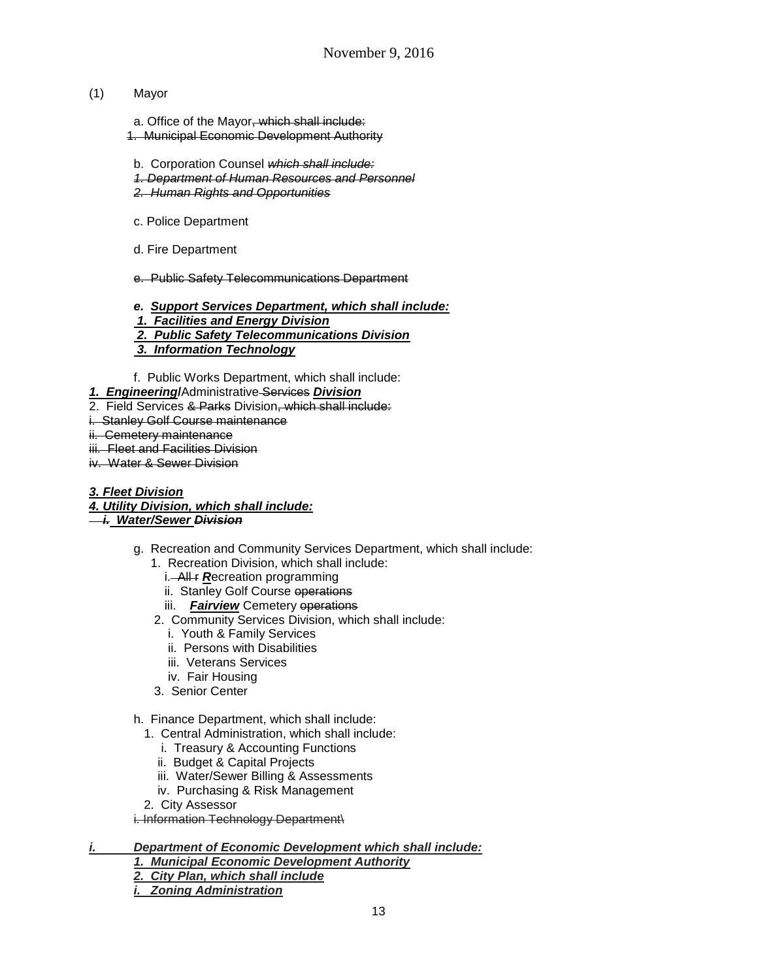## (1) Mayor

a. Office of the Mayor, which shall include: 1. Municipal Economic Development Authority

- b. Corporation Counsel *which shall include:*
- *1. Department of Human Resources and Personnel*
- *2. Human Rights and Opportunities*
- c. Police Department
- d. Fire Department

e. Public Safety Telecommunications Department

*e. Support Services Department, which shall include:*

- *1. Facilities and Energy Division*
- *2. Public Safety Telecommunications Division*
- *3. Information Technology*
- f. Public Works Department, which shall include:
- *1. Engineering***/**Administrative Services *Division*
- 2. Field Services & Parks Division, which shall include:
- i. Stanley Golf Course maintenance

### ii. Cemetery maintenance

- iii. Fleet and Facilities Division
- iv. Water & Sewer Division
- *3. Fleet Division*
- *4. Utility Division, which shall include:*

# *i. Water/Sewer Division*

- g. Recreation and Community Services Department, which shall include:
	- 1. Recreation Division, which shall include:
		- i. All **F Recreation** programming
		- ii. Stanley Golf Course operations
		- iii. **Fairview** Cemetery operations
	- 2. Community Services Division, which shall include:
		- i. Youth & Family Services
		- ii. Persons with Disabilities
		- iii. Veterans Services
		- iv. Fair Housing
	- 3. Senior Center
- h. Finance Department, which shall include:
	- 1. Central Administration, which shall include:
		- i. Treasury & Accounting Functions
		- ii. Budget & Capital Projects
		- iii. Water/Sewer Billing & Assessments
		- iv. Purchasing & Risk Management
	- 2. City Assessor

i. Information Technology Department\

- *i. Department of Economic Development which shall include:*
	- *1. Municipal Economic Development Authority*
	- *2. City Plan, which shall include*
	- *i. Zoning Administration*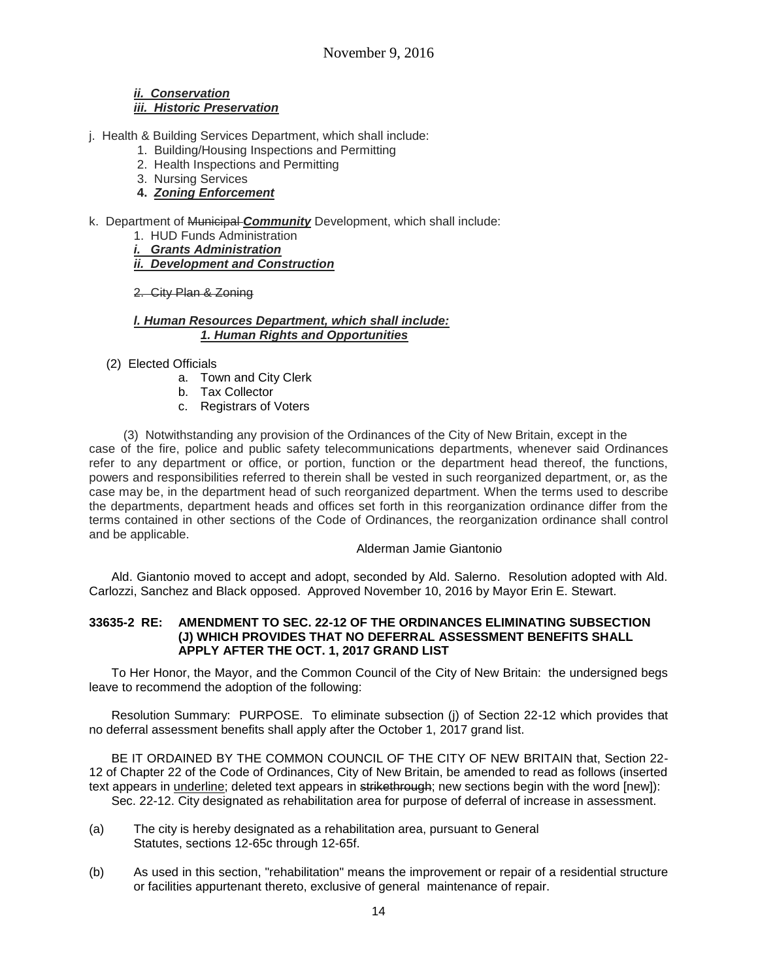### *ii. Conservation iii. Historic Preservation*

- j. Health & Building Services Department, which shall include:
	- 1. Building/Housing Inspections and Permitting
	- 2. Health Inspections and Permitting
	- 3. Nursing Services
	- **4.** *Zoning Enforcement*
- k. Department of Municipal *Community* Development, which shall include:
	- 1. HUD Funds Administration
	- *i. Grants Administration*
	- *ii. Development and Construction*
	- 2. City Plan & Zoning

### *l. Human Resources Department, which shall include: 1. Human Rights and Opportunities*

- (2) Elected Officials
	- a. Town and City Clerk
	- b. Tax Collector
	- c. Registrars of Voters

 (3) Notwithstanding any provision of the Ordinances of the City of New Britain, except in the case of the fire, police and public safety telecommunications departments, whenever said Ordinances refer to any department or office, or portion, function or the department head thereof, the functions, powers and responsibilities referred to therein shall be vested in such reorganized department, or, as the case may be, in the department head of such reorganized department. When the terms used to describe the departments, department heads and offices set forth in this reorganization ordinance differ from the terms contained in other sections of the Code of Ordinances, the reorganization ordinance shall control and be applicable.

### Alderman Jamie Giantonio

Ald. Giantonio moved to accept and adopt, seconded by Ald. Salerno. Resolution adopted with Ald. Carlozzi, Sanchez and Black opposed. Approved November 10, 2016 by Mayor Erin E. Stewart.

### **33635-2 RE: AMENDMENT TO SEC. 22-12 OF THE ORDINANCES ELIMINATING SUBSECTION (J) WHICH PROVIDES THAT NO DEFERRAL ASSESSMENT BENEFITS SHALL APPLY AFTER THE OCT. 1, 2017 GRAND LIST**

To Her Honor, the Mayor, and the Common Council of the City of New Britain: the undersigned begs leave to recommend the adoption of the following:

Resolution Summary: PURPOSE. To eliminate subsection (j) of Section 22-12 which provides that no deferral assessment benefits shall apply after the October 1, 2017 grand list.

BE IT ORDAINED BY THE COMMON COUNCIL OF THE CITY OF NEW BRITAIN that, Section 22- 12 of Chapter 22 of the Code of Ordinances, City of New Britain, be amended to read as follows (inserted text appears in underline; deleted text appears in strikethrough; new sections begin with the word [new]): Sec. 22-12. City designated as rehabilitation area for purpose of deferral of increase in assessment.

- (a) The city is hereby designated as a rehabilitation area, pursuant to General Statutes, sections 12-65c through 12-65f.
- (b) As used in this section, "rehabilitation" means the improvement or repair of a residential structure or facilities appurtenant thereto, exclusive of general maintenance of repair.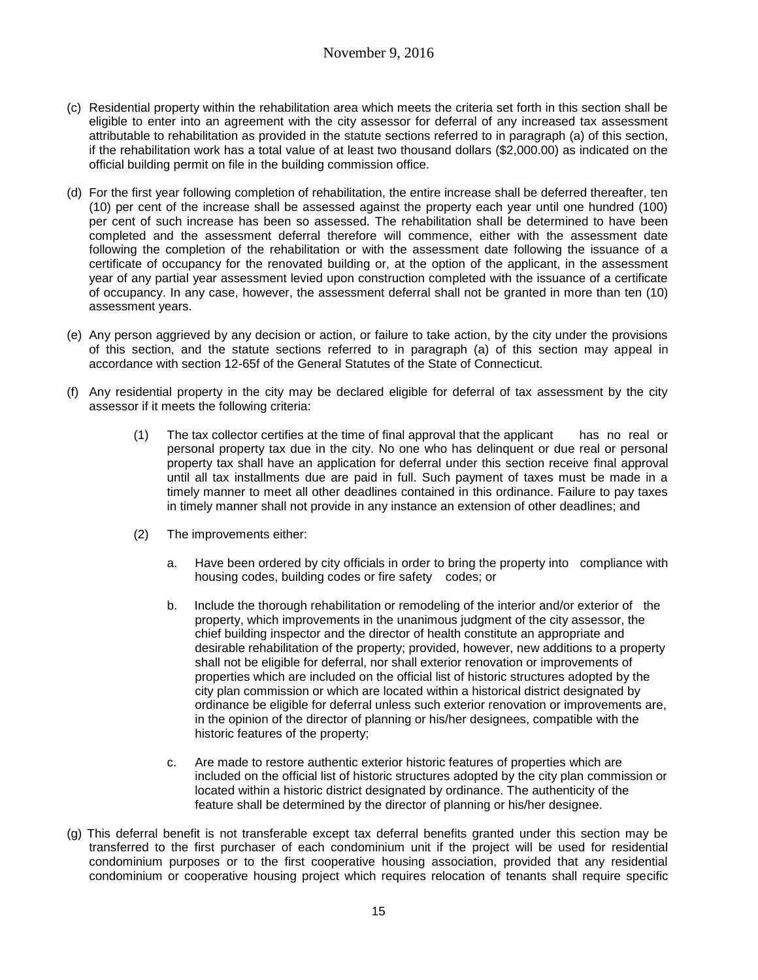- (c) Residential property within the rehabilitation area which meets the criteria set forth in this section shall be eligible to enter into an agreement with the city assessor for deferral of any increased tax assessment attributable to rehabilitation as provided in the statute sections referred to in paragraph (a) of this section, if the rehabilitation work has a total value of at least two thousand dollars (\$2,000.00) as indicated on the official building permit on file in the building commission office.
- (d) For the first year following completion of rehabilitation, the entire increase shall be deferred thereafter, ten (10) per cent of the increase shall be assessed against the property each year until one hundred (100) per cent of such increase has been so assessed. The rehabilitation shall be determined to have been completed and the assessment deferral therefore will commence, either with the assessment date following the completion of the rehabilitation or with the assessment date following the issuance of a certificate of occupancy for the renovated building or, at the option of the applicant, in the assessment year of any partial year assessment levied upon construction completed with the issuance of a certificate of occupancy. In any case, however, the assessment deferral shall not be granted in more than ten (10) assessment years.
- (e) Any person aggrieved by any decision or action, or failure to take action, by the city under the provisions of this section, and the statute sections referred to in paragraph (a) of this section may appeal in accordance with section 12-65f of the General Statutes of the State of Connecticut.
- (f) Any residential property in the city may be declared eligible for deferral of tax assessment by the city assessor if it meets the following criteria:
	- (1) The tax collector certifies at the time of final approval that the applicant has no real or personal property tax due in the city. No one who has delinquent or due real or personal property tax shall have an application for deferral under this section receive final approval until all tax installments due are paid in full. Such payment of taxes must be made in a timely manner to meet all other deadlines contained in this ordinance. Failure to pay taxes in timely manner shall not provide in any instance an extension of other deadlines; and
	- (2) The improvements either:
		- a. Have been ordered by city officials in order to bring the property into compliance with housing codes, building codes or fire safety codes; or
		- b. Include the thorough rehabilitation or remodeling of the interior and/or exterior of the property, which improvements in the unanimous judgment of the city assessor, the chief building inspector and the director of health constitute an appropriate and desirable rehabilitation of the property; provided, however, new additions to a property shall not be eligible for deferral, nor shall exterior renovation or improvements of properties which are included on the official list of historic structures adopted by the city plan commission or which are located within a historical district designated by ordinance be eligible for deferral unless such exterior renovation or improvements are, in the opinion of the director of planning or his/her designees, compatible with the historic features of the property;
		- c. Are made to restore authentic exterior historic features of properties which are included on the official list of historic structures adopted by the city plan commission or located within a historic district designated by ordinance. The authenticity of the feature shall be determined by the director of planning or his/her designee.
- (g) This deferral benefit is not transferable except tax deferral benefits granted under this section may be transferred to the first purchaser of each condominium unit if the project will be used for residential condominium purposes or to the first cooperative housing association, provided that any residential condominium or cooperative housing project which requires relocation of tenants shall require specific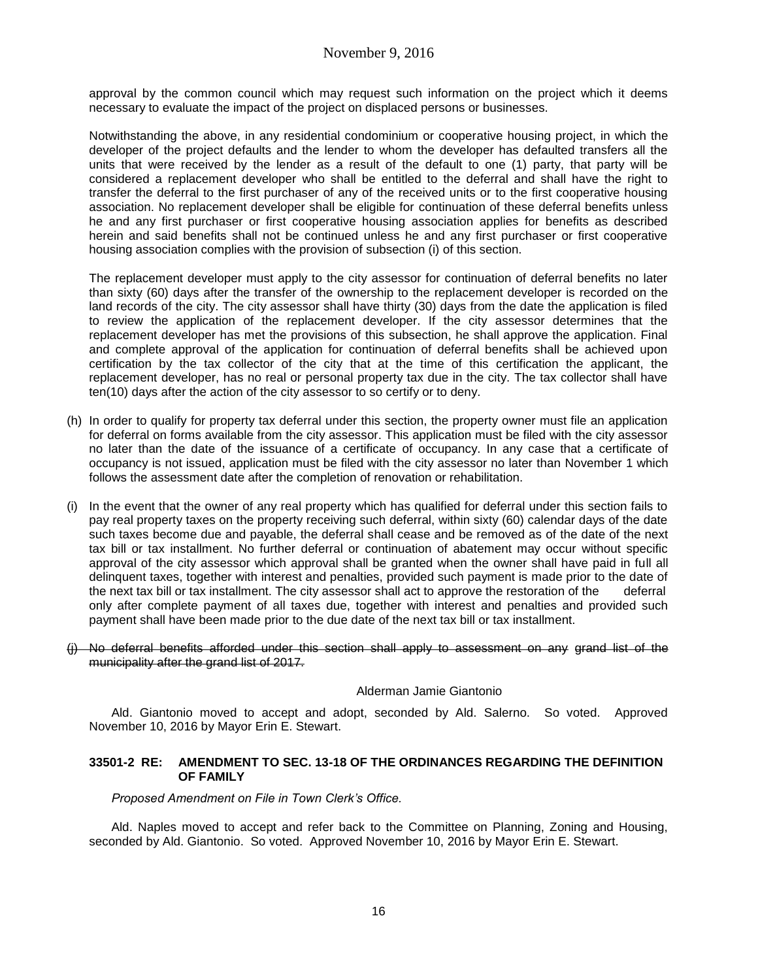approval by the common council which may request such information on the project which it deems necessary to evaluate the impact of the project on displaced persons or businesses.

Notwithstanding the above, in any residential condominium or cooperative housing project, in which the developer of the project defaults and the lender to whom the developer has defaulted transfers all the units that were received by the lender as a result of the default to one (1) party, that party will be considered a replacement developer who shall be entitled to the deferral and shall have the right to transfer the deferral to the first purchaser of any of the received units or to the first cooperative housing association. No replacement developer shall be eligible for continuation of these deferral benefits unless he and any first purchaser or first cooperative housing association applies for benefits as described herein and said benefits shall not be continued unless he and any first purchaser or first cooperative housing association complies with the provision of subsection (i) of this section.

The replacement developer must apply to the city assessor for continuation of deferral benefits no later than sixty (60) days after the transfer of the ownership to the replacement developer is recorded on the land records of the city. The city assessor shall have thirty (30) days from the date the application is filed to review the application of the replacement developer. If the city assessor determines that the replacement developer has met the provisions of this subsection, he shall approve the application. Final and complete approval of the application for continuation of deferral benefits shall be achieved upon certification by the tax collector of the city that at the time of this certification the applicant, the replacement developer, has no real or personal property tax due in the city. The tax collector shall have ten(10) days after the action of the city assessor to so certify or to deny.

- (h) In order to qualify for property tax deferral under this section, the property owner must file an application for deferral on forms available from the city assessor. This application must be filed with the city assessor no later than the date of the issuance of a certificate of occupancy. In any case that a certificate of occupancy is not issued, application must be filed with the city assessor no later than November 1 which follows the assessment date after the completion of renovation or rehabilitation.
- (i) In the event that the owner of any real property which has qualified for deferral under this section fails to pay real property taxes on the property receiving such deferral, within sixty (60) calendar days of the date such taxes become due and payable, the deferral shall cease and be removed as of the date of the next tax bill or tax installment. No further deferral or continuation of abatement may occur without specific approval of the city assessor which approval shall be granted when the owner shall have paid in full all delinquent taxes, together with interest and penalties, provided such payment is made prior to the date of the next tax bill or tax installment. The city assessor shall act to approve the restoration of the deferral only after complete payment of all taxes due, together with interest and penalties and provided such payment shall have been made prior to the due date of the next tax bill or tax installment.
- (i) No deferral benefits afforded under this section shall apply to assessment on any grand list of the municipality after the grand list of 2017.

### Alderman Jamie Giantonio

Ald. Giantonio moved to accept and adopt, seconded by Ald. Salerno. So voted. Approved November 10, 2016 by Mayor Erin E. Stewart.

### **33501-2 RE: AMENDMENT TO SEC. 13-18 OF THE ORDINANCES REGARDING THE DEFINITION OF FAMILY**

*Proposed Amendment on File in Town Clerk's Office.*

Ald. Naples moved to accept and refer back to the Committee on Planning, Zoning and Housing, seconded by Ald. Giantonio. So voted. Approved November 10, 2016 by Mayor Erin E. Stewart.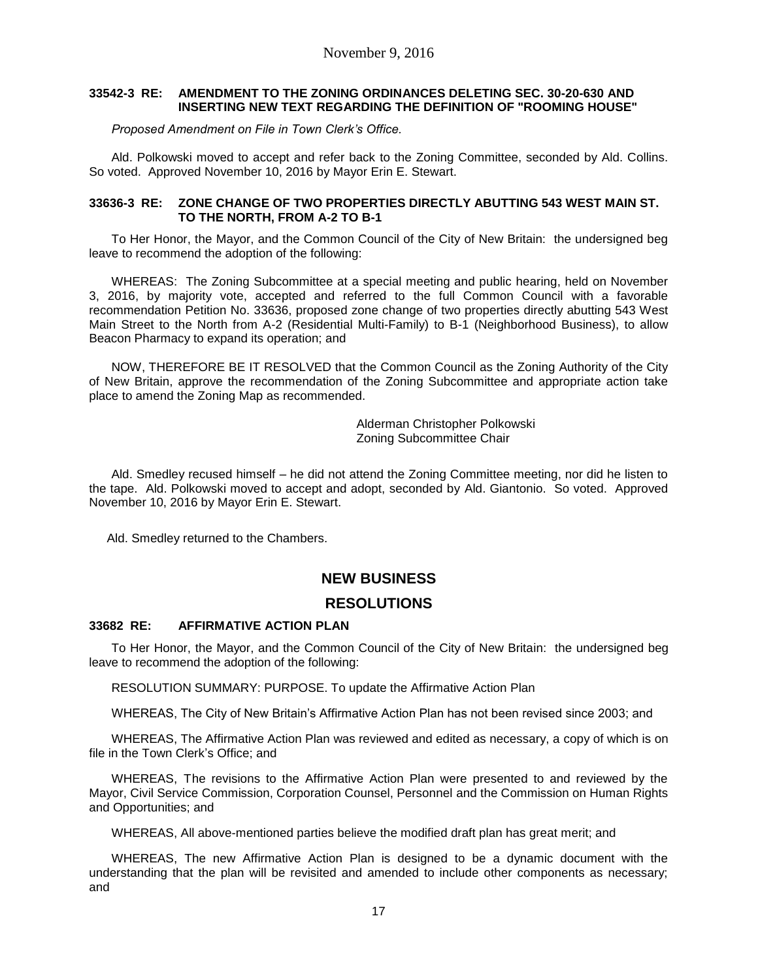### **33542-3 RE: AMENDMENT TO THE ZONING ORDINANCES DELETING SEC. 30-20-630 AND INSERTING NEW TEXT REGARDING THE DEFINITION OF "ROOMING HOUSE"**

*Proposed Amendment on File in Town Clerk's Office.*

Ald. Polkowski moved to accept and refer back to the Zoning Committee, seconded by Ald. Collins. So voted. Approved November 10, 2016 by Mayor Erin E. Stewart.

### **33636-3 RE: ZONE CHANGE OF TWO PROPERTIES DIRECTLY ABUTTING 543 WEST MAIN ST. TO THE NORTH, FROM A-2 TO B-1**

To Her Honor, the Mayor, and the Common Council of the City of New Britain: the undersigned beg leave to recommend the adoption of the following:

WHEREAS: The Zoning Subcommittee at a special meeting and public hearing, held on November 3, 2016, by majority vote, accepted and referred to the full Common Council with a favorable recommendation Petition No. 33636, proposed zone change of two properties directly abutting 543 West Main Street to the North from A-2 (Residential Multi-Family) to B-1 (Neighborhood Business), to allow Beacon Pharmacy to expand its operation; and

NOW, THEREFORE BE IT RESOLVED that the Common Council as the Zoning Authority of the City of New Britain, approve the recommendation of the Zoning Subcommittee and appropriate action take place to amend the Zoning Map as recommended.

> Alderman Christopher Polkowski Zoning Subcommittee Chair

Ald. Smedley recused himself – he did not attend the Zoning Committee meeting, nor did he listen to the tape. Ald. Polkowski moved to accept and adopt, seconded by Ald. Giantonio. So voted. Approved November 10, 2016 by Mayor Erin E. Stewart.

Ald. Smedley returned to the Chambers.

# **NEW BUSINESS**

# **RESOLUTIONS**

### **33682 RE: AFFIRMATIVE ACTION PLAN**

To Her Honor, the Mayor, and the Common Council of the City of New Britain: the undersigned beg leave to recommend the adoption of the following:

RESOLUTION SUMMARY: PURPOSE. To update the Affirmative Action Plan

WHEREAS, The City of New Britain's Affirmative Action Plan has not been revised since 2003; and

WHEREAS, The Affirmative Action Plan was reviewed and edited as necessary, a copy of which is on file in the Town Clerk's Office; and

WHEREAS, The revisions to the Affirmative Action Plan were presented to and reviewed by the Mayor, Civil Service Commission, Corporation Counsel, Personnel and the Commission on Human Rights and Opportunities; and

WHEREAS, All above-mentioned parties believe the modified draft plan has great merit; and

WHEREAS, The new Affirmative Action Plan is designed to be a dynamic document with the understanding that the plan will be revisited and amended to include other components as necessary; and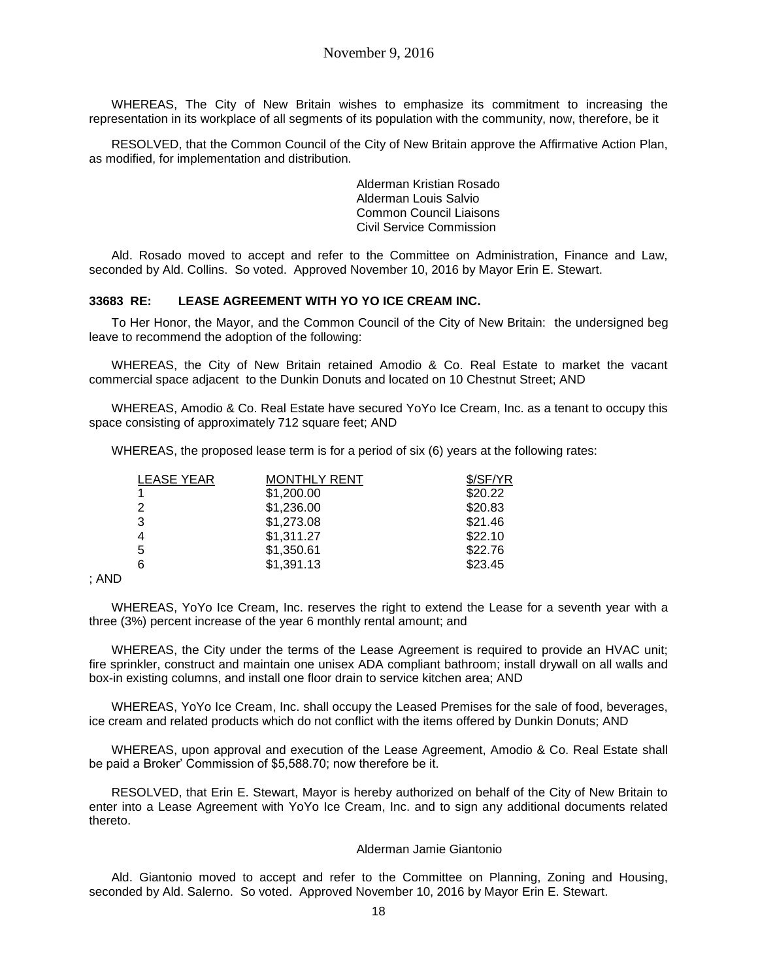WHEREAS, The City of New Britain wishes to emphasize its commitment to increasing the representation in its workplace of all segments of its population with the community, now, therefore, be it

RESOLVED, that the Common Council of the City of New Britain approve the Affirmative Action Plan, as modified, for implementation and distribution.

> Alderman Kristian Rosado Alderman Louis Salvio Common Council Liaisons Civil Service Commission

Ald. Rosado moved to accept and refer to the Committee on Administration, Finance and Law, seconded by Ald. Collins. So voted. Approved November 10, 2016 by Mayor Erin E. Stewart.

#### **33683 RE: LEASE AGREEMENT WITH YO YO ICE CREAM INC.**

To Her Honor, the Mayor, and the Common Council of the City of New Britain:the undersigned beg leave to recommend the adoption of the following:

WHEREAS, the City of New Britain retained Amodio & Co. Real Estate to market the vacant commercial space adjacent to the Dunkin Donuts and located on 10 Chestnut Street; AND

WHEREAS, Amodio & Co. Real Estate have secured YoYo Ice Cream, Inc. as a tenant to occupy this space consisting of approximately 712 square feet; AND

WHEREAS, the proposed lease term is for a period of six (6) years at the following rates:

| <b>LEASE YEAR</b> | <b>MONTHLY RENT</b> | \$/SF/YR |
|-------------------|---------------------|----------|
| 1                 | \$1,200.00          | \$20.22  |
| $\overline{2}$    | \$1,236.00          | \$20.83  |
| 3                 | \$1,273.08          | \$21.46  |
| 4                 | \$1,311.27          | \$22.10  |
| 5                 | \$1,350.61          | \$22.76  |
| 6                 | \$1,391.13          | \$23.45  |
|                   |                     |          |

; AND

WHEREAS, YoYo Ice Cream, Inc. reserves the right to extend the Lease for a seventh year with a three (3%) percent increase of the year 6 monthly rental amount; and

WHEREAS, the City under the terms of the Lease Agreement is required to provide an HVAC unit; fire sprinkler, construct and maintain one unisex ADA compliant bathroom; install drywall on all walls and box-in existing columns, and install one floor drain to service kitchen area; AND

WHEREAS, YoYo Ice Cream, Inc. shall occupy the Leased Premises for the sale of food, beverages, ice cream and related products which do not conflict with the items offered by Dunkin Donuts; AND

WHEREAS, upon approval and execution of the Lease Agreement, Amodio & Co. Real Estate shall be paid a Broker' Commission of \$5,588.70; now therefore be it.

RESOLVED, that Erin E. Stewart, Mayor is hereby authorized on behalf of the City of New Britain to enter into a Lease Agreement with YoYo Ice Cream, Inc. and to sign any additional documents related thereto.

#### Alderman Jamie Giantonio

Ald. Giantonio moved to accept and refer to the Committee on Planning, Zoning and Housing, seconded by Ald. Salerno. So voted. Approved November 10, 2016 by Mayor Erin E. Stewart.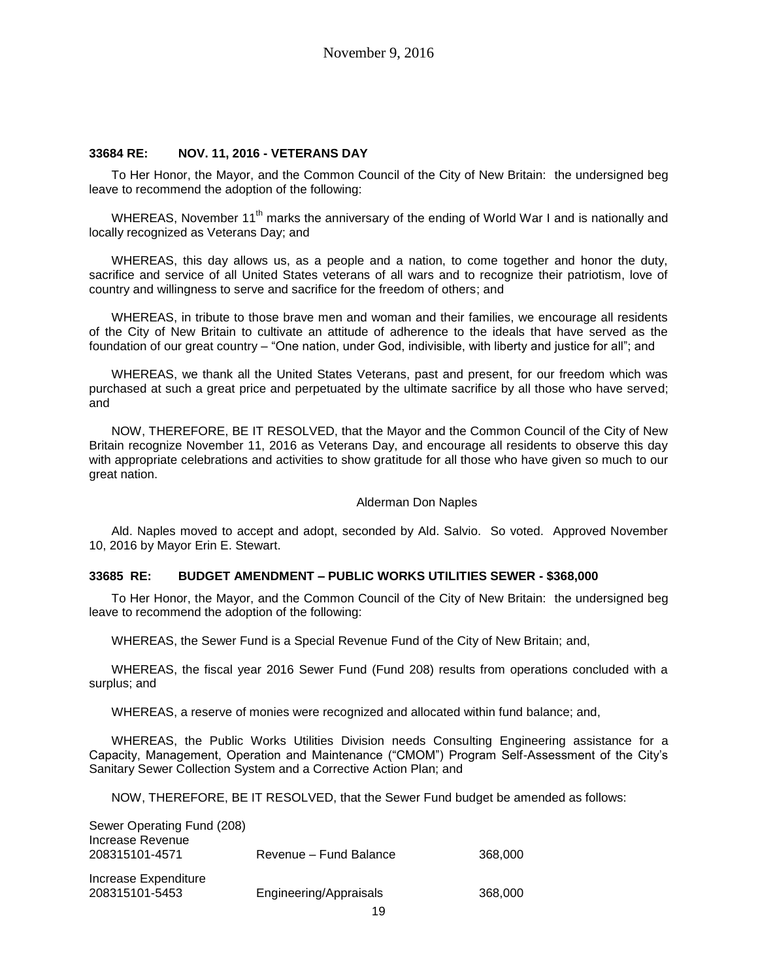#### **33684 RE: NOV. 11, 2016 - VETERANS DAY**

To Her Honor, the Mayor, and the Common Council of the City of New Britain: the undersigned beg leave to recommend the adoption of the following:

WHEREAS, November 11<sup>th</sup> marks the anniversary of the ending of World War I and is nationally and locally recognized as Veterans Day; and

WHEREAS, this day allows us, as a people and a nation, to come together and honor the duty, sacrifice and service of all United States veterans of all wars and to recognize their patriotism, love of country and willingness to serve and sacrifice for the freedom of others; and

WHEREAS, in tribute to those brave men and woman and their families, we encourage all residents of the City of New Britain to cultivate an attitude of adherence to the ideals that have served as the foundation of our great country – "One nation, under God, indivisible, with liberty and justice for all"; and

WHEREAS, we thank all the United States Veterans, past and present, for our freedom which was purchased at such a great price and perpetuated by the ultimate sacrifice by all those who have served; and

NOW, THEREFORE, BE IT RESOLVED, that the Mayor and the Common Council of the City of New Britain recognize November 11, 2016 as Veterans Day, and encourage all residents to observe this day with appropriate celebrations and activities to show gratitude for all those who have given so much to our great nation.

#### Alderman Don Naples

Ald. Naples moved to accept and adopt, seconded by Ald. Salvio. So voted. Approved November 10, 2016 by Mayor Erin E. Stewart.

#### **33685 RE: BUDGET AMENDMENT – PUBLIC WORKS UTILITIES SEWER - \$368,000**

To Her Honor, the Mayor, and the Common Council of the City of New Britain: the undersigned beg leave to recommend the adoption of the following:

WHEREAS, the Sewer Fund is a Special Revenue Fund of the City of New Britain; and,

WHEREAS, the fiscal year 2016 Sewer Fund (Fund 208) results from operations concluded with a surplus; and

WHEREAS, a reserve of monies were recognized and allocated within fund balance; and,

WHEREAS, the Public Works Utilities Division needs Consulting Engineering assistance for a Capacity, Management, Operation and Maintenance ("CMOM") Program Self-Assessment of the City's Sanitary Sewer Collection System and a Corrective Action Plan; and

NOW, THEREFORE, BE IT RESOLVED, that the Sewer Fund budget be amended as follows:

| Sewer Operating Fund (208)<br>Increase Revenue<br>208315101-4571 | Revenue – Fund Balance | 368,000 |
|------------------------------------------------------------------|------------------------|---------|
| Increase Expenditure<br>208315101-5453                           | Engineering/Appraisals | 368,000 |